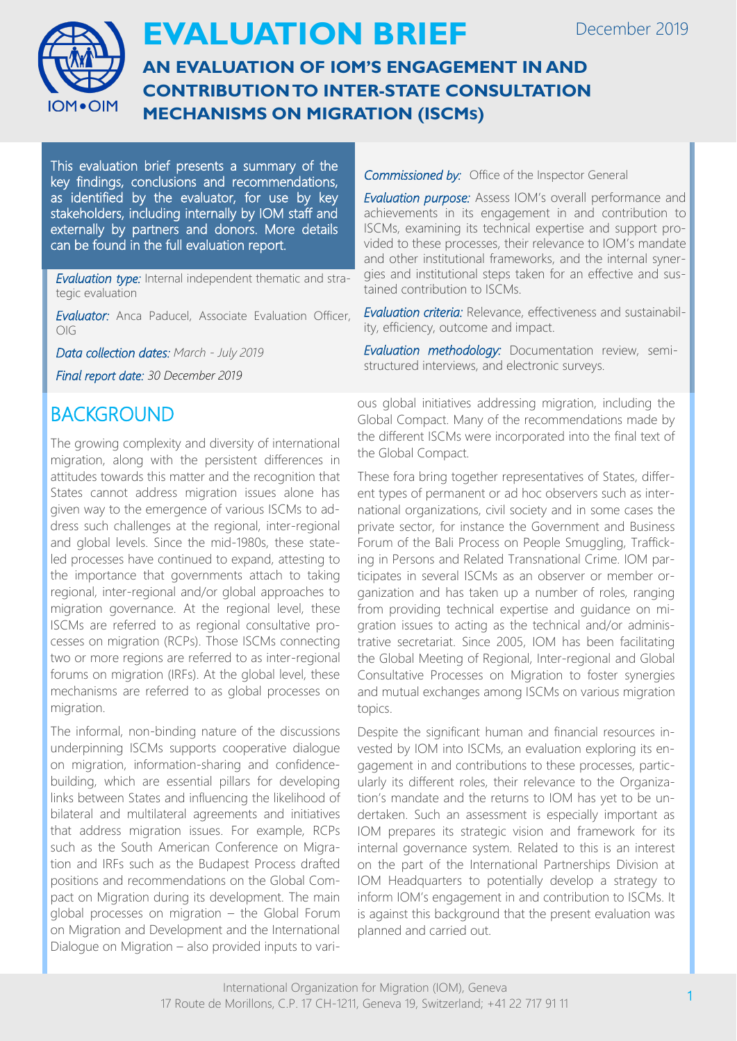

## **EVALUATION BRIEF AN EVALUATION OF IOM'S ENGAGEMENT IN AND CONTRIBUTION TO INTER-STATE CONSULTATION MECHANISMS ON MIGRATION (ISCMS)**

This evaluation brief presents a summary of the key findings, conclusions and recommendations, as identified by the evaluator, for use by key stakeholders, including internally by IOM staff and externally by partners and donors. More details can be found in the full evaluation report.

*Evaluation type:* Internal independent thematic and strategic evaluation

*Evaluator:* Anca Paducel, Associate Evaluation Officer, OIG

*Data collection dates: March - July 2019*

*Final report date: 30 December 2019*

## BACKGROUND

The growing complexity and diversity of international migration, along with the persistent differences in attitudes towards this matter and the recognition that States cannot address migration issues alone has given way to the emergence of various ISCMs to address such challenges at the regional, inter-regional and global levels. Since the mid-1980s, these stateled processes have continued to expand, attesting to the importance that governments attach to taking regional, inter-regional and/or global approaches to migration governance. At the regional level, these ISCMs are referred to as regional consultative processes on migration (RCPs). Those ISCMs connecting two or more regions are referred to as inter-regional forums on migration (IRFs). At the global level, these mechanisms are referred to as global processes on migration.

The informal, non-binding nature of the discussions underpinning ISCMs supports cooperative dialogue on migration, information-sharing and confidencebuilding, which are essential pillars for developing links between States and influencing the likelihood of bilateral and multilateral agreements and initiatives that address migration issues. For example, RCPs such as the South American Conference on Migration and IRFs such as the Budapest Process drafted positions and recommendations on the Global Compact on Migration during its development. The main global processes on migration – the Global Forum on Migration and Development and the International Dialogue on Migration – also provided inputs to vari*Commissioned by:* Office of the Inspector General

*Evaluation purpose:* Assess IOM's overall performance and achievements in its engagement in and contribution to ISCMs, examining its technical expertise and support provided to these processes, their relevance to IOM's mandate and other institutional frameworks, and the internal synergies and institutional steps taken for an effective and sustained contribution to ISCMs.

*Evaluation criteria:* Relevance, effectiveness and sustainability, efficiency, outcome and impact.

*Evaluation methodology:* Documentation review, semistructured interviews, and electronic surveys.

ous global initiatives addressing migration, including the Global Compact. Many of the recommendations made by the different ISCMs were incorporated into the final text of the Global Compact.

These fora bring together representatives of States, different types of permanent or ad hoc observers such as international organizations, civil society and in some cases the private sector, for instance the Government and Business Forum of the Bali Process on People Smuggling, Trafficking in Persons and Related Transnational Crime. IOM participates in several ISCMs as an observer or member organization and has taken up a number of roles, ranging from providing technical expertise and guidance on migration issues to acting as the technical and/or administrative secretariat. Since 2005, IOM has been facilitating the Global Meeting of Regional, Inter-regional and Global Consultative Processes on Migration to foster synergies and mutual exchanges among ISCMs on various migration topics.

Despite the significant human and financial resources invested by IOM into ISCMs, an evaluation exploring its engagement in and contributions to these processes, particularly its different roles, their relevance to the Organization's mandate and the returns to IOM has yet to be undertaken. Such an assessment is especially important as IOM prepares its strategic vision and framework for its internal governance system. Related to this is an interest on the part of the International Partnerships Division at IOM Headquarters to potentially develop a strategy to inform IOM's engagement in and contribution to ISCMs. It is against this background that the present evaluation was planned and carried out.